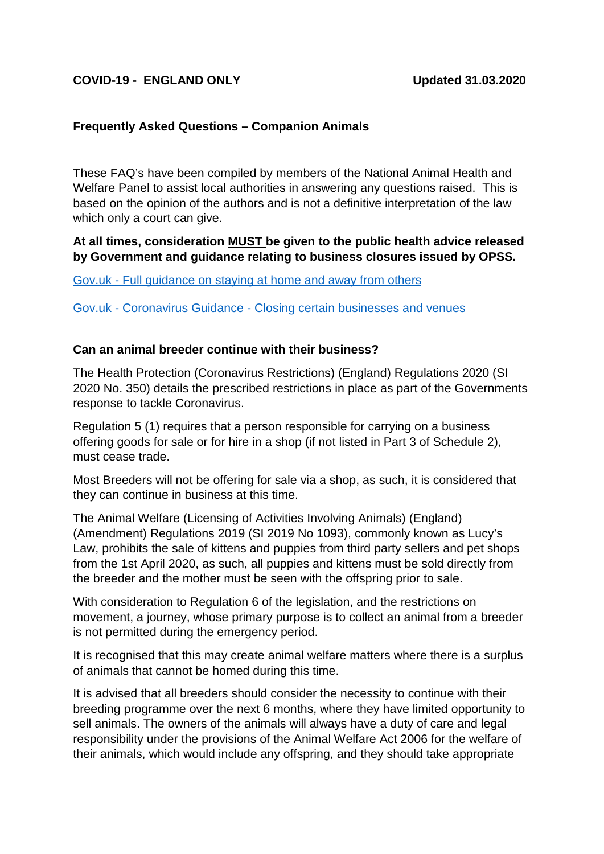## **COVID-19 - ENGLAND ONLY Updated 31.03.2020**

### **Frequently Asked Questions – Companion Animals**

These FAQ's have been compiled by members of the National Animal Health and Welfare Panel to assist local authorities in answering any questions raised. This is based on the opinion of the authors and is not a definitive interpretation of the law which only a court can give.

### **At all times, consideration MUST be given to the public health advice released by Government and guidance relating to business closures issued by OPSS.**

Gov.uk - [Full guidance on staying at home and away from others](https://www.gov.uk/government/publications/full-guidance-on-staying-at-home-and-away-from-others)

Gov.uk - Coronavirus Guidance - [Closing certain businesses and venues](https://www.gov.uk/government/publications/further-businesses-and-premises-to-close/further-businesses-and-premises-to-close-guidance)

#### **Can an animal breeder continue with their business?**

The Health Protection (Coronavirus Restrictions) (England) Regulations 2020 (SI 2020 No. 350) details the prescribed restrictions in place as part of the Governments response to tackle Coronavirus.

Regulation 5 (1) requires that a person responsible for carrying on a business offering goods for sale or for hire in a shop (if not listed in Part 3 of Schedule 2), must cease trade.

Most Breeders will not be offering for sale via a shop, as such, it is considered that they can continue in business at this time.

The Animal Welfare (Licensing of Activities Involving Animals) (England) (Amendment) Regulations 2019 (SI 2019 No 1093), commonly known as Lucy's Law, prohibits the sale of kittens and puppies from third party sellers and pet shops from the 1st April 2020, as such, all puppies and kittens must be sold directly from the breeder and the mother must be seen with the offspring prior to sale.

With consideration to Regulation 6 of the legislation, and the restrictions on movement, a journey, whose primary purpose is to collect an animal from a breeder is not permitted during the emergency period.

It is recognised that this may create animal welfare matters where there is a surplus of animals that cannot be homed during this time.

It is advised that all breeders should consider the necessity to continue with their breeding programme over the next 6 months, where they have limited opportunity to sell animals. The owners of the animals will always have a duty of care and legal responsibility under the provisions of the Animal Welfare Act 2006 for the welfare of their animals, which would include any offspring, and they should take appropriate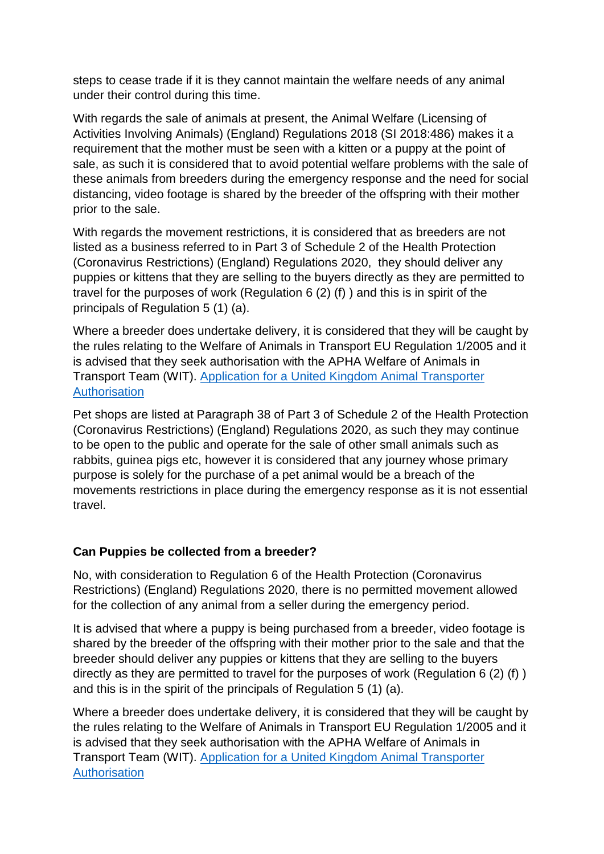steps to cease trade if it is they cannot maintain the welfare needs of any animal under their control during this time.

With regards the sale of animals at present, the Animal Welfare (Licensing of Activities Involving Animals) (England) Regulations 2018 (SI 2018:486) makes it a requirement that the mother must be seen with a kitten or a puppy at the point of sale, as such it is considered that to avoid potential welfare problems with the sale of these animals from breeders during the emergency response and the need for social distancing, video footage is shared by the breeder of the offspring with their mother prior to the sale.

With regards the movement restrictions, it is considered that as breeders are not listed as a business referred to in Part 3 of Schedule 2 of the Health Protection (Coronavirus Restrictions) (England) Regulations 2020, they should deliver any puppies or kittens that they are selling to the buyers directly as they are permitted to travel for the purposes of work (Regulation 6 (2) (f) ) and this is in spirit of the principals of Regulation 5 (1) (a).

Where a breeder does undertake delivery, it is considered that they will be caught by the rules relating to the Welfare of Animals in Transport EU Regulation 1/2005 and it is advised that they seek authorisation with the APHA Welfare of Animals in Transport Team (WIT). [Application for a United Kingdom Animal Transporter](https://assets.publishing.service.gov.uk/government/uploads/system/uploads/attachment_data/file/769576/form-wit01.pdf)  [Authorisation](https://assets.publishing.service.gov.uk/government/uploads/system/uploads/attachment_data/file/769576/form-wit01.pdf)

Pet shops are listed at Paragraph 38 of Part 3 of Schedule 2 of the Health Protection (Coronavirus Restrictions) (England) Regulations 2020, as such they may continue to be open to the public and operate for the sale of other small animals such as rabbits, guinea pigs etc, however it is considered that any journey whose primary purpose is solely for the purchase of a pet animal would be a breach of the movements restrictions in place during the emergency response as it is not essential travel.

## **Can Puppies be collected from a breeder?**

No, with consideration to Regulation 6 of the Health Protection (Coronavirus Restrictions) (England) Regulations 2020, there is no permitted movement allowed for the collection of any animal from a seller during the emergency period.

It is advised that where a puppy is being purchased from a breeder, video footage is shared by the breeder of the offspring with their mother prior to the sale and that the breeder should deliver any puppies or kittens that they are selling to the buyers directly as they are permitted to travel for the purposes of work (Regulation 6 (2) (f) ) and this is in the spirit of the principals of Regulation 5 (1) (a).

Where a breeder does undertake delivery, it is considered that they will be caught by the rules relating to the Welfare of Animals in Transport EU Regulation 1/2005 and it is advised that they seek authorisation with the APHA Welfare of Animals in Transport Team (WIT). [Application for a United Kingdom Animal Transporter](https://assets.publishing.service.gov.uk/government/uploads/system/uploads/attachment_data/file/769576/form-wit01.pdf)  **[Authorisation](https://assets.publishing.service.gov.uk/government/uploads/system/uploads/attachment_data/file/769576/form-wit01.pdf)**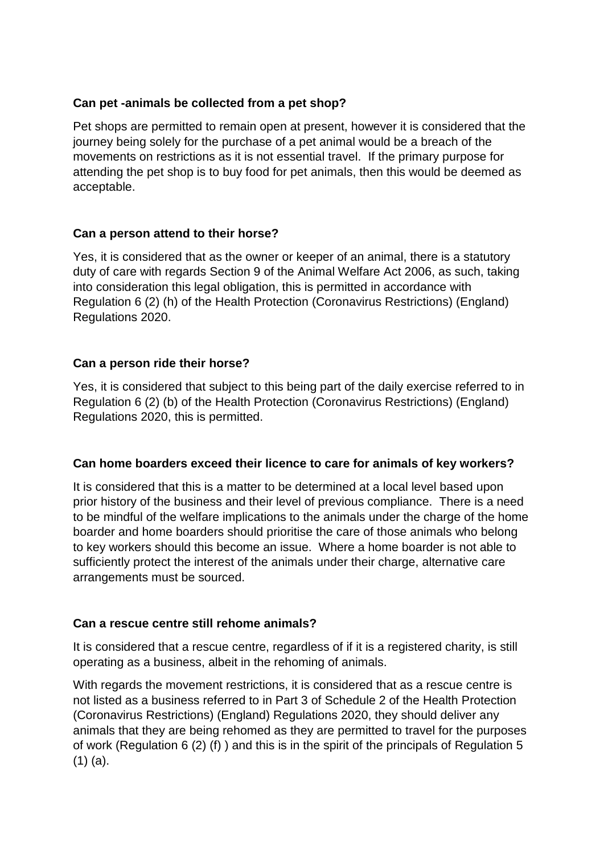## **Can pet -animals be collected from a pet shop?**

Pet shops are permitted to remain open at present, however it is considered that the journey being solely for the purchase of a pet animal would be a breach of the movements on restrictions as it is not essential travel. If the primary purpose for attending the pet shop is to buy food for pet animals, then this would be deemed as acceptable.

## **Can a person attend to their horse?**

Yes, it is considered that as the owner or keeper of an animal, there is a statutory duty of care with regards Section 9 of the Animal Welfare Act 2006, as such, taking into consideration this legal obligation, this is permitted in accordance with Regulation 6 (2) (h) of the Health Protection (Coronavirus Restrictions) (England) Regulations 2020.

## **Can a person ride their horse?**

Yes, it is considered that subject to this being part of the daily exercise referred to in Regulation 6 (2) (b) of the Health Protection (Coronavirus Restrictions) (England) Regulations 2020, this is permitted.

### **Can home boarders exceed their licence to care for animals of key workers?**

It is considered that this is a matter to be determined at a local level based upon prior history of the business and their level of previous compliance. There is a need to be mindful of the welfare implications to the animals under the charge of the home boarder and home boarders should prioritise the care of those animals who belong to key workers should this become an issue. Where a home boarder is not able to sufficiently protect the interest of the animals under their charge, alternative care arrangements must be sourced.

### **Can a rescue centre still rehome animals?**

It is considered that a rescue centre, regardless of if it is a registered charity, is still operating as a business, albeit in the rehoming of animals.

With regards the movement restrictions, it is considered that as a rescue centre is not listed as a business referred to in Part 3 of Schedule 2 of the Health Protection (Coronavirus Restrictions) (England) Regulations 2020, they should deliver any animals that they are being rehomed as they are permitted to travel for the purposes of work (Regulation 6 (2) (f) ) and this is in the spirit of the principals of Regulation 5 (1) (a).